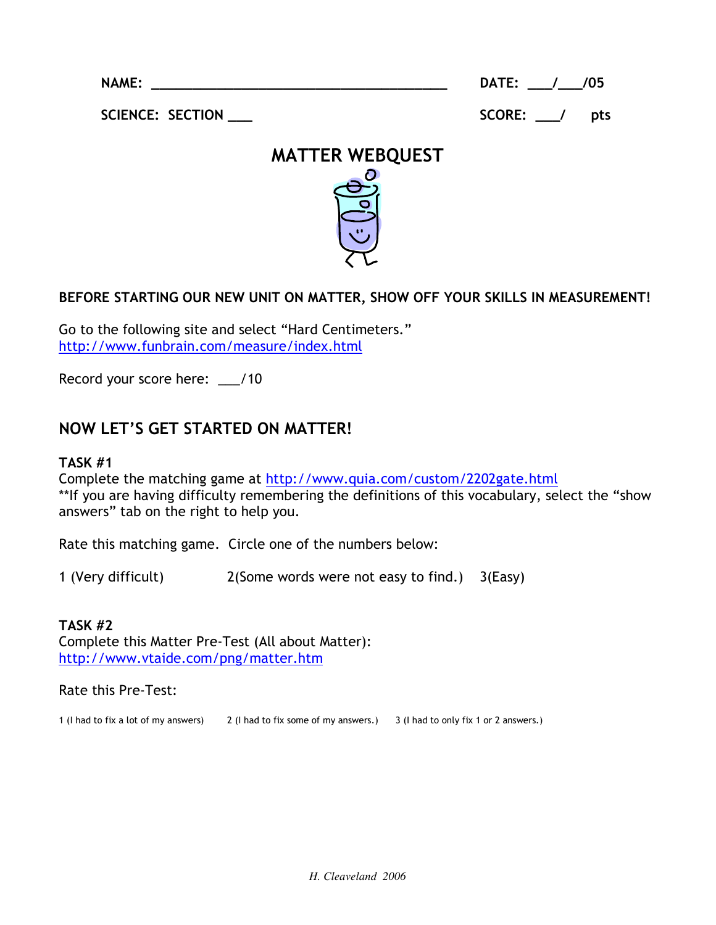NAME:

DATE: \_\_\_/\_\_\_/05

SCIENCE: SECTION \_\_\_\_

SCORE: / pts



## BEFORE STARTING OUR NEW UNIT ON MATTER, SHOW OFF YOUR SKILLS IN MEASUREMENT!

Go to the following site and select "Hard Centimeters." http://www.funbrain.com/measure/index.html

Record your score here: \_\_/10

# **NOW LET'S GET STARTED ON MATTER!**

#### **TASK #1**

Complete the matching game at http://www.quia.com/custom/2202gate.html \*\*If you are having difficulty remembering the definitions of this vocabulary, select the "show" answers" tab on the right to help you.

Rate this matching game. Circle one of the numbers below:

1 (Very difficult) 2(Some words were not easy to find.) 3(Easy)

## **TASK #2**

Complete this Matter Pre-Test (All about Matter): http://www.vtaide.com/png/matter.htm

#### Rate this Pre-Test:

1 (I had to fix a lot of my answers) 2 (I had to fix some of my answers.) 3 (I had to only fix 1 or 2 answers.)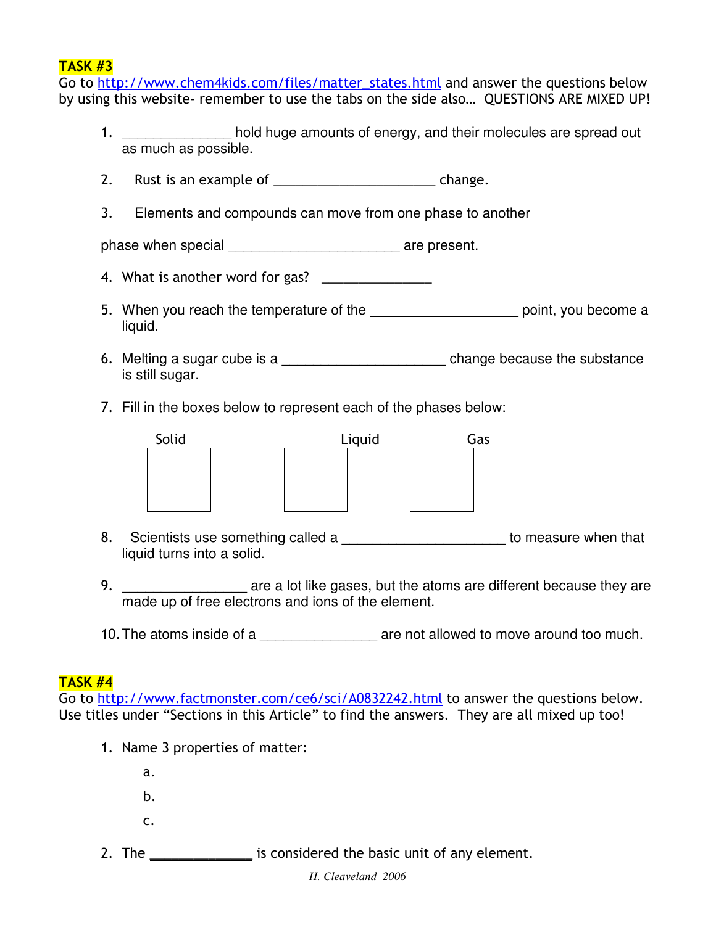## $TASK #3$

Go to <u>http://www.chem4kids.com/files/matter\_states.html</u> and answer the questions below by using this website- remember to use the tabs on the side also... QUESTIONS ARE MIXED UP!

- 1. **Example 20** hold huge amounts of energy, and their molecules are spread out as much as possible.
- 2. Rust is an example of \_\_\_\_\_\_\_\_\_\_\_\_\_\_\_\_\_\_\_\_\_\_\_\_\_\_\_\_\_\_\_\_ change.
- 3. Elements and compounds can move from one phase to another

phase when special example  $\overline{\phantom{a}}$  are present.

- 4. What is another word for gas?  $\overline{\phantom{a}}$
- 5. When you reach the temperature of the \_\_\_\_\_\_\_\_\_\_\_\_\_\_\_\_\_\_\_\_\_\_\_\_\_\_ point, you become a liquid.
- 6. Melting a sugar cube is a substance because the substance is still sugar.
- 7. Fill in the boxes below to represent each of the phases below:



- 8. Scientists use something called a **Book is a contract to measure when that** liquid turns into a solid.
- 9. The are a lot like gases, but the atoms are different because they are made up of free electrons and ions of the element.
- 10. The atoms inside of a **Example 20** are not allowed to move around too much.

## **TASK #4**

Go to http://www.factmonster.com/ce6/sci/A0832242.html to answer the questions below. Use titles under "Sections in this Article" to find the answers. They are all mixed up too!

- 1. Name 3 properties of matter:
	- $a.$
	- $b<sub>1</sub>$
	- C.
- 2. The \_\_\_\_\_\_\_\_\_\_\_\_\_\_\_\_ is considered the basic unit of any element.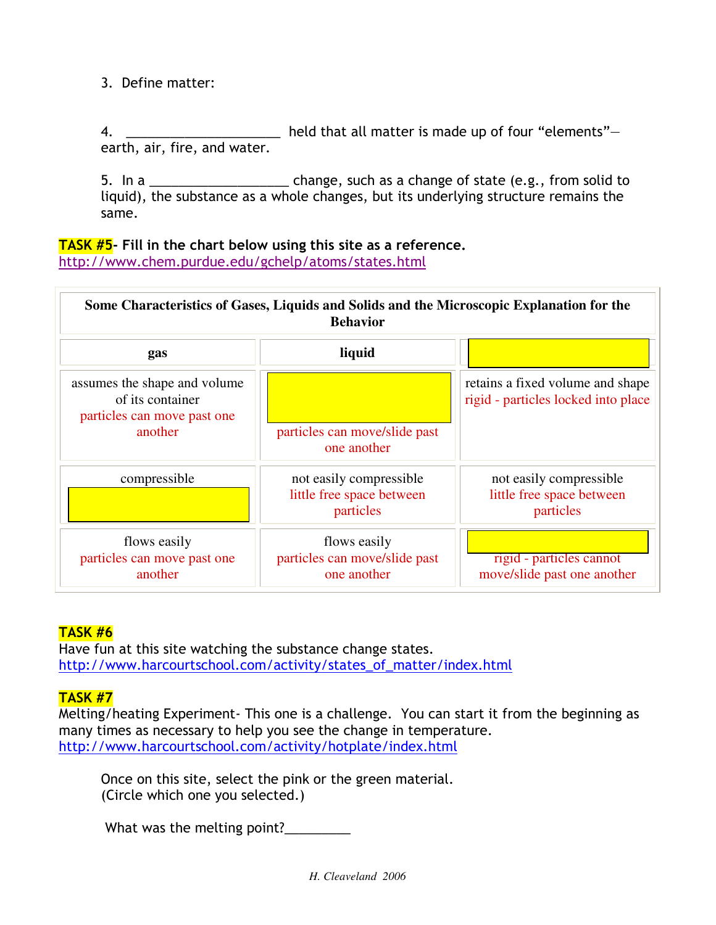3. Define matter:

4. \_\_\_\_\_\_\_\_\_\_\_\_\_\_\_\_\_\_\_\_\_ held that all matter is made up of four "elements" earth, air, fire, and water.

5. In a \_\_\_\_\_\_\_\_\_\_\_\_\_\_\_\_\_\_\_\_\_\_\_ change, such as a change of state (e.g., from solid to liquid), the substance as a whole changes, but its underlying structure remains the same.

#### TASK #5- Fill in the chart below using this site as a reference. http://www.chem.purdue.edu/gchelp/atoms/states.html

| Some Characteristics of Gases, Liquids and Solids and the Microscopic Explanation for the<br><b>Behavior</b> |                                                                    |                                                                         |
|--------------------------------------------------------------------------------------------------------------|--------------------------------------------------------------------|-------------------------------------------------------------------------|
| gas                                                                                                          | liquid                                                             |                                                                         |
| assumes the shape and volume<br>of its container<br>particles can move past one<br>another                   |                                                                    | retains a fixed volume and shape<br>rigid - particles locked into place |
|                                                                                                              | particles can move/slide past<br>one another                       |                                                                         |
| compressible                                                                                                 | not easily compressible.<br>little free space between<br>particles | not easily compressible.<br>little free space between<br>particles      |
| flows easily<br>particles can move past one<br>another                                                       | flows easily<br>particles can move/slide past<br>one another       | rigid - particles cannot<br>move/slide past one another                 |

## **TASK #6**

Have fun at this site watching the substance change states. http://www.harcourtschool.com/activity/states\_of\_matter/index.html

## **TASK #7**

Melting/heating Experiment- This one is a challenge. You can start it from the beginning as many times as necessary to help you see the change in temperature. http://www.harcourtschool.com/activity/hotplate/index.html

Once on this site, select the pink or the green material. (Circle which one you selected.)

What was the melting point?\_